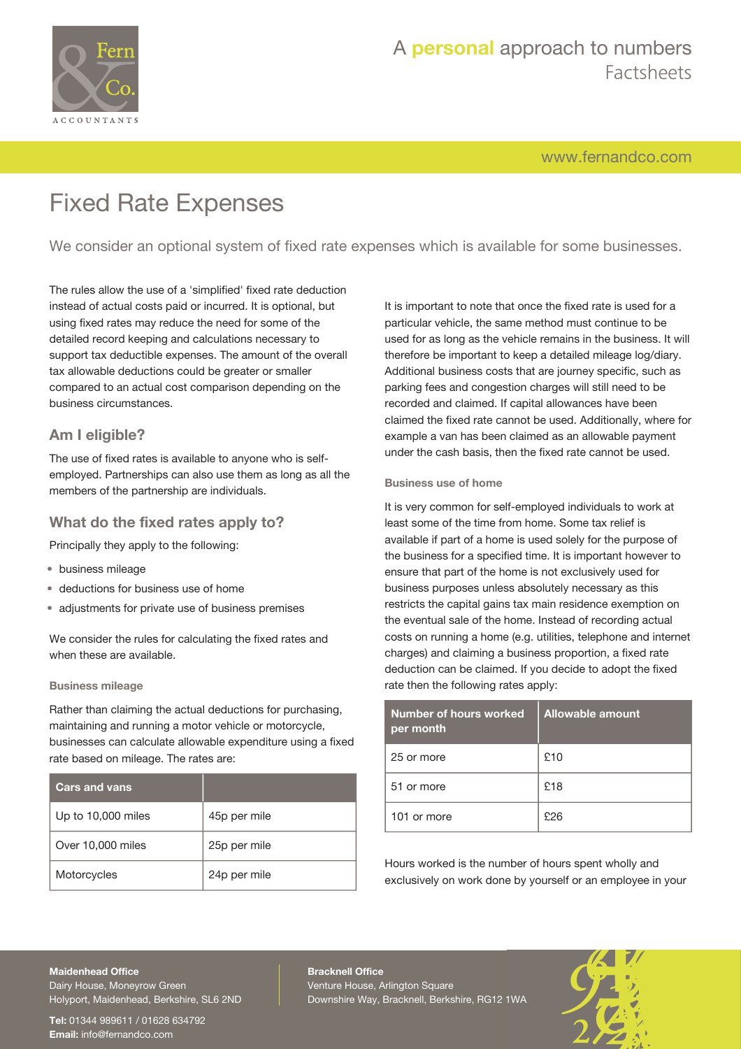

# A **personal** approach to numbers Factsheets

[www.fernandco.com](http://www.fernandco.com)

# Fixed Rate Expenses

We consider an optional system of fixed rate expenses which is available for some businesses.

The rules allow the use of a 'simplified' fixed rate deduction instead of actual costs paid or incurred. It is optional, but using fixed rates may reduce the need for some of the detailed record keeping and calculations necessary to support tax deductible expenses. The amount of the overall tax allowable deductions could be greater or smaller compared to an actual cost comparison depending on the business circumstances.

## **Am I eligible?**

The use of fixed rates is available to anyone who is selfemployed. Partnerships can also use them as long as all the members of the partnership are individuals.

### **What do the fixed rates apply to?**

Principally they apply to the following:

- business mileage
- deductions for business use of home
- adjustments for private use of business premises

We consider the rules for calculating the fixed rates and when these are available.

### **Business mileage**

Rather than claiming the actual deductions for purchasing, maintaining and running a motor vehicle or motorcycle, businesses can calculate allowable expenditure using a fixed rate based on mileage. The rates are:

| <b>Cars and vans</b> |              |
|----------------------|--------------|
| Up to 10,000 miles   | 45p per mile |
| Over 10,000 miles    | 25p per mile |
| Motorcycles          | 24p per mile |

It is important to note that once the fixed rate is used for a particular vehicle, the same method must continue to be used for as long as the vehicle remains in the business. It will therefore be important to keep a detailed mileage log/diary. Additional business costs that are journey specific, such as parking fees and congestion charges will still need to be recorded and claimed. If capital allowances have been claimed the fixed rate cannot be used. Additionally, where for example a van has been claimed as an allowable payment under the cash basis, then the fixed rate cannot be used.

### **Business use of home**

It is very common for self-employed individuals to work at least some of the time from home. Some tax relief is available if part of a home is used solely for the purpose of the business for a specified time. It is important however to ensure that part of the home is not exclusively used for business purposes unless absolutely necessary as this restricts the capital gains tax main residence exemption on the eventual sale of the home. Instead of recording actual costs on running a home (e.g. utilities, telephone and internet charges) and claiming a business proportion, a fixed rate deduction can be claimed. If you decide to adopt the fixed rate then the following rates apply:

| Number of hours worked<br>per month | Allowable amount |
|-------------------------------------|------------------|
| 25 or more                          | £10              |
| 51 or more                          | £18              |
| 101 or more                         | £26              |

Hours worked is the number of hours spent wholly and exclusively on work done by yourself or an employee in your

# **Maidenhead Office**

Dairy House, Moneyrow Green Holyport, Maidenhead, Berkshire, SL6 2ND

**Tel:** 01344 989611 / 01628 634792 **Email:** [info@fernandco.com](mailto:info@fernandco.com)

**Bracknell Office** Venture House, Arlington Square Downshire Way, Bracknell, Berkshire, RG12 1WA